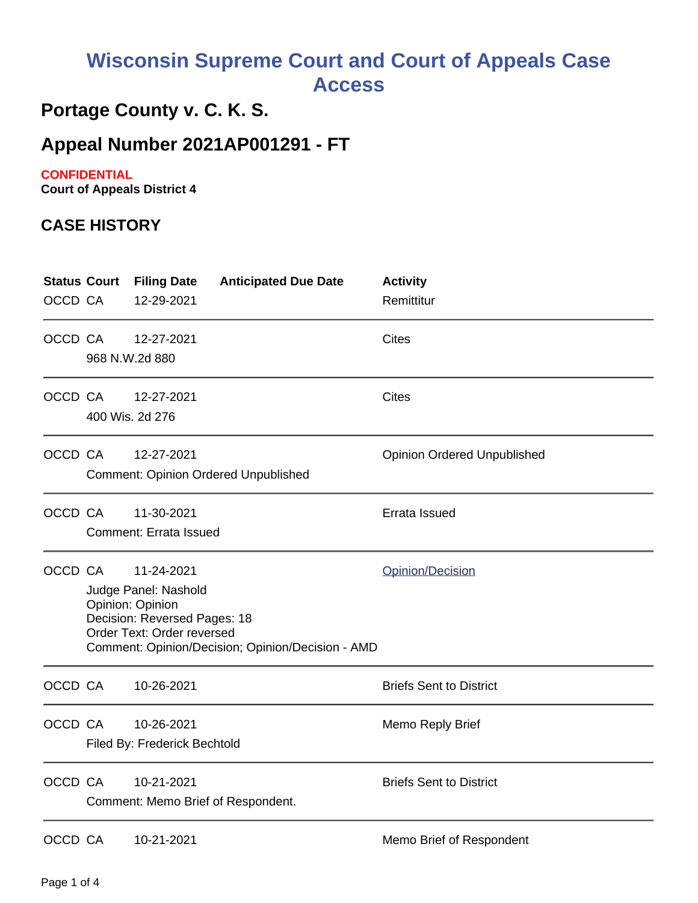# **Wisconsin Supreme Court and Court of Appeals Case Access**

## **Portage County v. C. K. S.**

### **Appeal Number 2021AP001291 - FT**

#### **CONFIDENTIAL**

**Court of Appeals District 4**

#### **CASE HISTORY**

| <b>Status Court</b><br>OCCD CA |                                                                                                                                                                                               | <b>Filing Date</b><br>12-29-2021                 | <b>Anticipated Due Date</b>                 | <b>Activity</b><br>Remittitur      |
|--------------------------------|-----------------------------------------------------------------------------------------------------------------------------------------------------------------------------------------------|--------------------------------------------------|---------------------------------------------|------------------------------------|
| OCCD CA                        | 968 N.W.2d 880                                                                                                                                                                                | 12-27-2021                                       |                                             | <b>Cites</b>                       |
| OCCD CA                        | 400 Wis. 2d 276                                                                                                                                                                               | 12-27-2021                                       |                                             | <b>Cites</b>                       |
| OCCD CA                        |                                                                                                                                                                                               | 12-27-2021                                       | <b>Comment: Opinion Ordered Unpublished</b> | <b>Opinion Ordered Unpublished</b> |
| OCCD CA                        |                                                                                                                                                                                               | 11-30-2021<br><b>Comment: Errata Issued</b>      |                                             | Errata Issued                      |
| OCCD CA                        | 11-24-2021<br>Opinion/Decision<br>Judge Panel: Nashold<br>Opinion: Opinion<br>Decision: Reversed Pages: 18<br>Order Text: Order reversed<br>Comment: Opinion/Decision; Opinion/Decision - AMD |                                                  |                                             |                                    |
| OCCD CA                        |                                                                                                                                                                                               | 10-26-2021                                       |                                             | <b>Briefs Sent to District</b>     |
| OCCD CA                        |                                                                                                                                                                                               | 10-26-2021<br>Filed By: Frederick Bechtold       |                                             | Memo Reply Brief                   |
| OCCD CA                        |                                                                                                                                                                                               | 10-21-2021<br>Comment: Memo Brief of Respondent. |                                             | <b>Briefs Sent to District</b>     |
| OCCD CA                        |                                                                                                                                                                                               | 10-21-2021                                       |                                             | Memo Brief of Respondent           |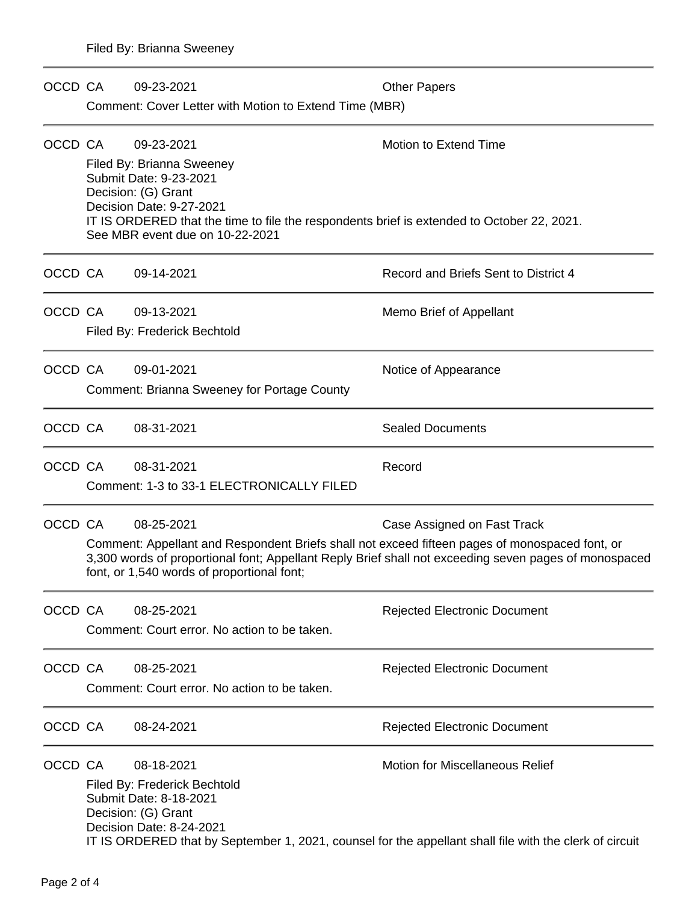| OCCD CA |                                                                                                                                                                                                                                                       | 09-23-2021                                                                                 | <b>Other Papers</b>                                                                                     |  |  |  |  |
|---------|-------------------------------------------------------------------------------------------------------------------------------------------------------------------------------------------------------------------------------------------------------|--------------------------------------------------------------------------------------------|---------------------------------------------------------------------------------------------------------|--|--|--|--|
|         |                                                                                                                                                                                                                                                       | Comment: Cover Letter with Motion to Extend Time (MBR)                                     |                                                                                                         |  |  |  |  |
| OCCD CA |                                                                                                                                                                                                                                                       | 09-23-2021                                                                                 | Motion to Extend Time                                                                                   |  |  |  |  |
|         |                                                                                                                                                                                                                                                       | Filed By: Brianna Sweeney                                                                  |                                                                                                         |  |  |  |  |
|         |                                                                                                                                                                                                                                                       | Submit Date: 9-23-2021                                                                     |                                                                                                         |  |  |  |  |
|         | Decision: (G) Grant<br>Decision Date: 9-27-2021                                                                                                                                                                                                       |                                                                                            |                                                                                                         |  |  |  |  |
|         |                                                                                                                                                                                                                                                       | IT IS ORDERED that the time to file the respondents brief is extended to October 22, 2021. |                                                                                                         |  |  |  |  |
|         |                                                                                                                                                                                                                                                       | See MBR event due on 10-22-2021                                                            |                                                                                                         |  |  |  |  |
| OCCD CA |                                                                                                                                                                                                                                                       | 09-14-2021                                                                                 | Record and Briefs Sent to District 4                                                                    |  |  |  |  |
| OCCD CA |                                                                                                                                                                                                                                                       | 09-13-2021                                                                                 | Memo Brief of Appellant                                                                                 |  |  |  |  |
|         |                                                                                                                                                                                                                                                       | Filed By: Frederick Bechtold                                                               |                                                                                                         |  |  |  |  |
| OCCD CA |                                                                                                                                                                                                                                                       | 09-01-2021                                                                                 | Notice of Appearance                                                                                    |  |  |  |  |
|         |                                                                                                                                                                                                                                                       | <b>Comment: Brianna Sweeney for Portage County</b>                                         |                                                                                                         |  |  |  |  |
| OCCD CA |                                                                                                                                                                                                                                                       | 08-31-2021                                                                                 | <b>Sealed Documents</b>                                                                                 |  |  |  |  |
| OCCD CA |                                                                                                                                                                                                                                                       | 08-31-2021                                                                                 | Record                                                                                                  |  |  |  |  |
|         | Comment: 1-3 to 33-1 ELECTRONICALLY FILED                                                                                                                                                                                                             |                                                                                            |                                                                                                         |  |  |  |  |
| OCCD CA |                                                                                                                                                                                                                                                       | 08-25-2021                                                                                 | Case Assigned on Fast Track                                                                             |  |  |  |  |
|         | Comment: Appellant and Respondent Briefs shall not exceed fifteen pages of monospaced font, or<br>3,300 words of proportional font; Appellant Reply Brief shall not exceeding seven pages of monospaced<br>font, or 1,540 words of proportional font; |                                                                                            |                                                                                                         |  |  |  |  |
| OCCD CA |                                                                                                                                                                                                                                                       | 08-25-2021                                                                                 | <b>Rejected Electronic Document</b>                                                                     |  |  |  |  |
|         | Comment: Court error. No action to be taken.                                                                                                                                                                                                          |                                                                                            |                                                                                                         |  |  |  |  |
| OCCD CA |                                                                                                                                                                                                                                                       | 08-25-2021                                                                                 | <b>Rejected Electronic Document</b>                                                                     |  |  |  |  |
|         |                                                                                                                                                                                                                                                       | Comment: Court error. No action to be taken.                                               |                                                                                                         |  |  |  |  |
| OCCD CA |                                                                                                                                                                                                                                                       | 08-24-2021                                                                                 | <b>Rejected Electronic Document</b>                                                                     |  |  |  |  |
| OCCD CA |                                                                                                                                                                                                                                                       | 08-18-2021                                                                                 | <b>Motion for Miscellaneous Relief</b>                                                                  |  |  |  |  |
|         |                                                                                                                                                                                                                                                       | Filed By: Frederick Bechtold                                                               |                                                                                                         |  |  |  |  |
|         | Submit Date: 8-18-2021                                                                                                                                                                                                                                |                                                                                            |                                                                                                         |  |  |  |  |
|         |                                                                                                                                                                                                                                                       | Decision: (G) Grant<br>Decision Date: 8-24-2021                                            |                                                                                                         |  |  |  |  |
|         |                                                                                                                                                                                                                                                       |                                                                                            | IT IS ORDERED that by September 1, 2021, counsel for the appellant shall file with the clerk of circuit |  |  |  |  |
|         |                                                                                                                                                                                                                                                       |                                                                                            |                                                                                                         |  |  |  |  |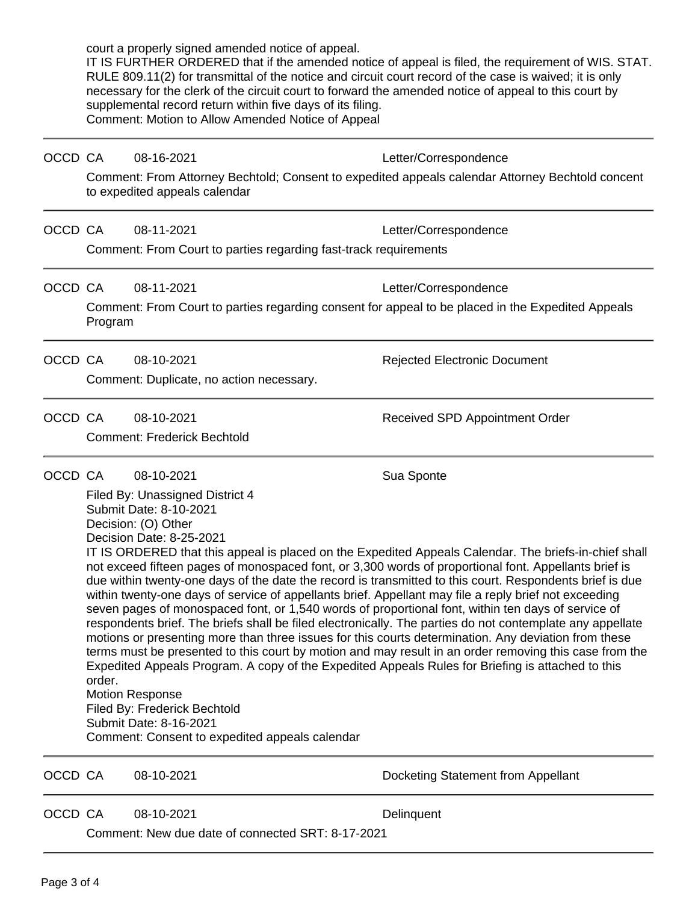|         |                                                                                                                                                                                                                                                                                                                                                                                                                                                                                                                                                                                                                                                                                                                                                                                                                                                                                                                                                                                                                                                                                                                                                                                                                                               | court a properly signed amended notice of appeal.<br>supplemental record return within five days of its filing.<br>Comment: Motion to Allow Amended Notice of Appeal | IT IS FURTHER ORDERED that if the amended notice of appeal is filed, the requirement of WIS. STAT.<br>RULE 809.11(2) for transmittal of the notice and circuit court record of the case is waived; it is only<br>necessary for the clerk of the circuit court to forward the amended notice of appeal to this court by |  |
|---------|-----------------------------------------------------------------------------------------------------------------------------------------------------------------------------------------------------------------------------------------------------------------------------------------------------------------------------------------------------------------------------------------------------------------------------------------------------------------------------------------------------------------------------------------------------------------------------------------------------------------------------------------------------------------------------------------------------------------------------------------------------------------------------------------------------------------------------------------------------------------------------------------------------------------------------------------------------------------------------------------------------------------------------------------------------------------------------------------------------------------------------------------------------------------------------------------------------------------------------------------------|----------------------------------------------------------------------------------------------------------------------------------------------------------------------|------------------------------------------------------------------------------------------------------------------------------------------------------------------------------------------------------------------------------------------------------------------------------------------------------------------------|--|
| OCCD CA |                                                                                                                                                                                                                                                                                                                                                                                                                                                                                                                                                                                                                                                                                                                                                                                                                                                                                                                                                                                                                                                                                                                                                                                                                                               | 08-16-2021                                                                                                                                                           | Letter/Correspondence                                                                                                                                                                                                                                                                                                  |  |
|         |                                                                                                                                                                                                                                                                                                                                                                                                                                                                                                                                                                                                                                                                                                                                                                                                                                                                                                                                                                                                                                                                                                                                                                                                                                               | to expedited appeals calendar                                                                                                                                        | Comment: From Attorney Bechtold; Consent to expedited appeals calendar Attorney Bechtold concent                                                                                                                                                                                                                       |  |
| OCCD CA |                                                                                                                                                                                                                                                                                                                                                                                                                                                                                                                                                                                                                                                                                                                                                                                                                                                                                                                                                                                                                                                                                                                                                                                                                                               | 08-11-2021                                                                                                                                                           | Letter/Correspondence                                                                                                                                                                                                                                                                                                  |  |
|         |                                                                                                                                                                                                                                                                                                                                                                                                                                                                                                                                                                                                                                                                                                                                                                                                                                                                                                                                                                                                                                                                                                                                                                                                                                               | Comment: From Court to parties regarding fast-track requirements                                                                                                     |                                                                                                                                                                                                                                                                                                                        |  |
| OCCD CA |                                                                                                                                                                                                                                                                                                                                                                                                                                                                                                                                                                                                                                                                                                                                                                                                                                                                                                                                                                                                                                                                                                                                                                                                                                               | 08-11-2021                                                                                                                                                           | Letter/Correspondence                                                                                                                                                                                                                                                                                                  |  |
|         | Program                                                                                                                                                                                                                                                                                                                                                                                                                                                                                                                                                                                                                                                                                                                                                                                                                                                                                                                                                                                                                                                                                                                                                                                                                                       |                                                                                                                                                                      | Comment: From Court to parties regarding consent for appeal to be placed in the Expedited Appeals                                                                                                                                                                                                                      |  |
| OCCD CA |                                                                                                                                                                                                                                                                                                                                                                                                                                                                                                                                                                                                                                                                                                                                                                                                                                                                                                                                                                                                                                                                                                                                                                                                                                               | 08-10-2021                                                                                                                                                           | <b>Rejected Electronic Document</b>                                                                                                                                                                                                                                                                                    |  |
|         |                                                                                                                                                                                                                                                                                                                                                                                                                                                                                                                                                                                                                                                                                                                                                                                                                                                                                                                                                                                                                                                                                                                                                                                                                                               | Comment: Duplicate, no action necessary.                                                                                                                             |                                                                                                                                                                                                                                                                                                                        |  |
| OCCD CA |                                                                                                                                                                                                                                                                                                                                                                                                                                                                                                                                                                                                                                                                                                                                                                                                                                                                                                                                                                                                                                                                                                                                                                                                                                               | 08-10-2021<br><b>Comment: Frederick Bechtold</b>                                                                                                                     | <b>Received SPD Appointment Order</b>                                                                                                                                                                                                                                                                                  |  |
| OCCD CA |                                                                                                                                                                                                                                                                                                                                                                                                                                                                                                                                                                                                                                                                                                                                                                                                                                                                                                                                                                                                                                                                                                                                                                                                                                               | 08-10-2021                                                                                                                                                           | Sua Sponte                                                                                                                                                                                                                                                                                                             |  |
|         | Filed By: Unassigned District 4<br>Submit Date: 8-10-2021<br>Decision: (O) Other<br>Decision Date: 8-25-2021<br>IT IS ORDERED that this appeal is placed on the Expedited Appeals Calendar. The briefs-in-chief shall<br>not exceed fifteen pages of monospaced font, or 3,300 words of proportional font. Appellants brief is<br>due within twenty-one days of the date the record is transmitted to this court. Respondents brief is due<br>within twenty-one days of service of appellants brief. Appellant may file a reply brief not exceeding<br>seven pages of monospaced font, or 1,540 words of proportional font, within ten days of service of<br>respondents brief. The briefs shall be filed electronically. The parties do not contemplate any appellate<br>motions or presenting more than three issues for this courts determination. Any deviation from these<br>terms must be presented to this court by motion and may result in an order removing this case from the<br>Expedited Appeals Program. A copy of the Expedited Appeals Rules for Briefing is attached to this<br>order.<br><b>Motion Response</b><br>Filed By: Frederick Bechtold<br>Submit Date: 8-16-2021<br>Comment: Consent to expedited appeals calendar |                                                                                                                                                                      |                                                                                                                                                                                                                                                                                                                        |  |
| OCCD CA |                                                                                                                                                                                                                                                                                                                                                                                                                                                                                                                                                                                                                                                                                                                                                                                                                                                                                                                                                                                                                                                                                                                                                                                                                                               | 08-10-2021                                                                                                                                                           | Docketing Statement from Appellant                                                                                                                                                                                                                                                                                     |  |
| OCCD CA |                                                                                                                                                                                                                                                                                                                                                                                                                                                                                                                                                                                                                                                                                                                                                                                                                                                                                                                                                                                                                                                                                                                                                                                                                                               | 08-10-2021<br>Comment: New due date of connected SRT: 8-17-2021                                                                                                      | Delinquent                                                                                                                                                                                                                                                                                                             |  |